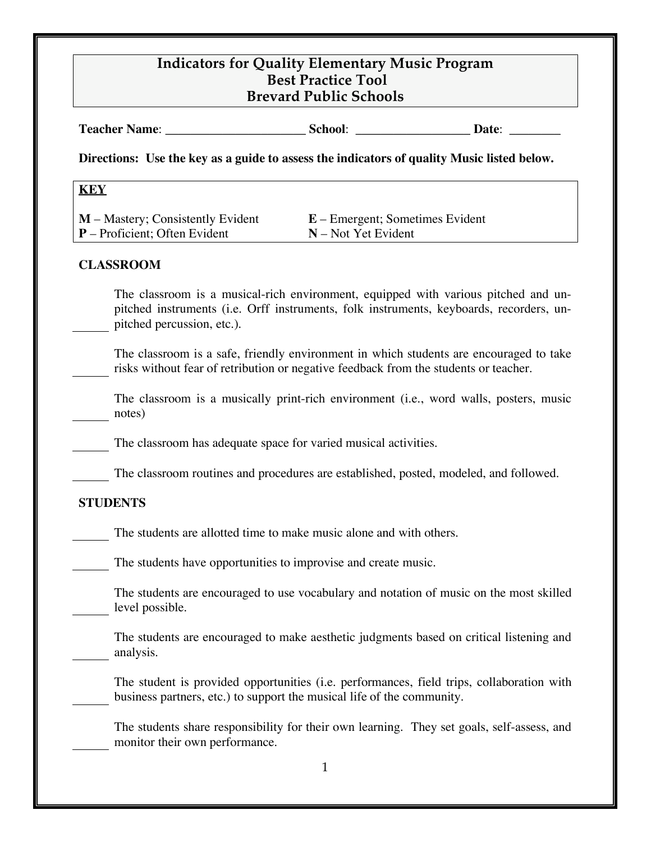| <b>Teacher Name:</b> | School: | Jate: |  |
|----------------------|---------|-------|--|
|                      |         |       |  |

**Directions: Use the key as a guide to assess the indicators of quality Music listed below.**

#### **KEY**

**M** – Mastery; Consistently Evident **E** – Emergent; Sometimes Evident **P** – Proficient: Often Evident **N** – Not Yet Evident

### **CLASSROOM**

The classroom is a musical-rich environment, equipped with various pitched and unpitched instruments (i.e. Orff instruments, folk instruments, keyboards, recorders, unpitched percussion, etc.).

The classroom is a safe, friendly environment in which students are encouraged to take risks without fear of retribution or negative feedback from the students or teacher.

The classroom is a musically print-rich environment (i.e., word walls, posters, music notes)

The classroom has adequate space for varied musical activities.

The classroom routines and procedures are established, posted, modeled, and followed.

## **STUDENTS**

The students are allotted time to make music alone and with others.

The students have opportunities to improvise and create music.

The students are encouraged to use vocabulary and notation of music on the most skilled level possible.

The students are encouraged to make aesthetic judgments based on critical listening and analysis.

The student is provided opportunities (i.e. performances, field trips, collaboration with business partners, etc.) to support the musical life of the community.

The students share responsibility for their own learning. They set goals, self-assess, and monitor their own performance.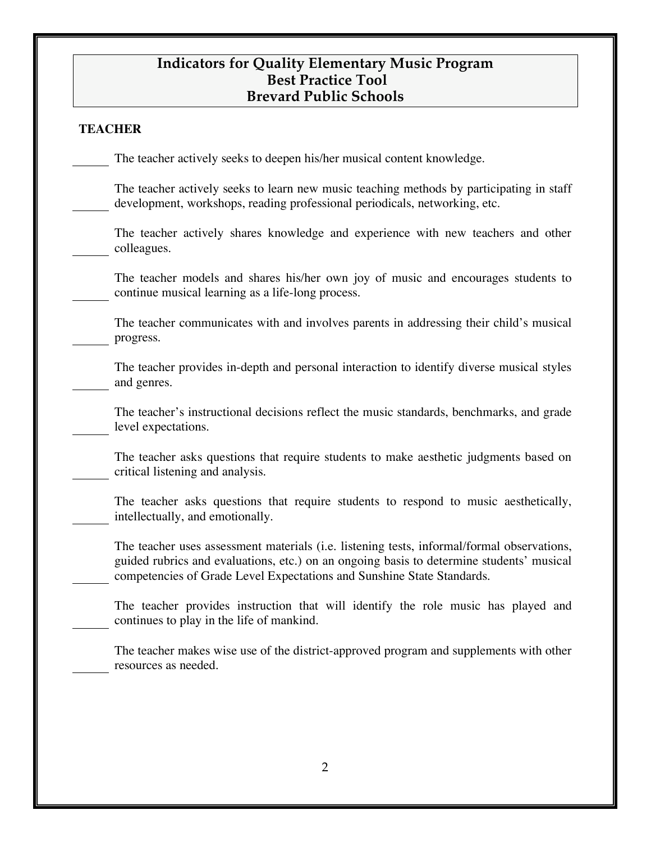#### **TEACHER**

The teacher actively seeks to deepen his/her musical content knowledge.

The teacher actively seeks to learn new music teaching methods by participating in staff development, workshops, reading professional periodicals, networking, etc.

The teacher actively shares knowledge and experience with new teachers and other colleagues.

The teacher models and shares his/her own joy of music and encourages students to continue musical learning as a life-long process.

The teacher communicates with and involves parents in addressing their child's musical progress.

The teacher provides in-depth and personal interaction to identify diverse musical styles and genres.

The teacher's instructional decisions reflect the music standards, benchmarks, and grade level expectations.

The teacher asks questions that require students to make aesthetic judgments based on critical listening and analysis.

The teacher asks questions that require students to respond to music aesthetically, intellectually, and emotionally.

The teacher uses assessment materials (i.e. listening tests, informal/formal observations, guided rubrics and evaluations, etc.) on an ongoing basis to determine students' musical competencies of Grade Level Expectations and Sunshine State Standards.

The teacher provides instruction that will identify the role music has played and continues to play in the life of mankind.

The teacher makes wise use of the district-approved program and supplements with other resources as needed.